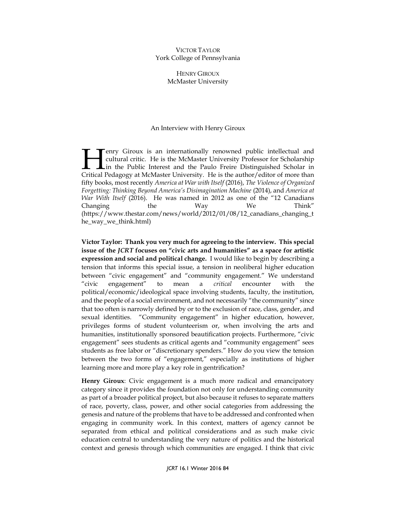## VICTOR TAYLOR York College of Pennsylvania

HENRY GIROUX McMaster University

## An Interview with Henry Giroux

enry Giroux is an internationally renowned public intellectual and cultural critic. He is the McMaster University Professor for Scholarship Lin the Public Interest and the Paulo Freire Distinguished Scholar in **Example 19 Exercise 19 Exercise 19 Exercise 19 Exercise 19 Exercise 19 Extinct 1 And Cultural critic. He is the McMaster University Professor for Scholarship in the Public Interest and the Paulo Freire Distinguished Schol** fifty books, most recently *America at War with Itself* (2016), *The Violence of Organized Forgetting: Thinking Beyond America's Disimagination Machine* (2014), and *America at War With Itself* (2016). He was named in 2012 as one of the "12 Canadians Changing the Way We Think" (https://www.thestar.com/news/world/2012/01/08/12\_canadians\_changing\_t he\_way\_we\_think.html)

**Victor Taylor: Thank you very much for agreeing to the interview. This special issue of the** *JCRT* **focuses on "civic arts and humanities" as a space for artistic expression and social and political change.** I would like to begin by describing a tension that informs this special issue, a tension in neoliberal higher education between "civic engagement" and "community engagement." We understand "civic engagement" to mean a *critical* encounter with the political/economic/ideological space involving students, faculty, the institution, and the people of a social environment, and not necessarily "the community" since that too often is narrowly defined by or to the exclusion of race, class, gender, and sexual identities. "Community engagement" in higher education, however, privileges forms of student volunteerism or, when involving the arts and humanities, institutionally sponsored beautification projects. Furthermore, "civic engagement" sees students as critical agents and "community engagement" sees students as free labor or "discretionary spenders." How do you view the tension between the two forms of "engagement," especially as institutions of higher learning more and more play a key role in gentrification?

**Henry Giroux**: Civic engagement is a much more radical and emancipatory category since it provides the foundation not only for understanding community as part of a broader political project, but also because it refuses to separate matters of race, poverty, class, power, and other social categories from addressing the genesis and nature of the problems that have to be addressed and confronted when engaging in community work. In this context, matters of agency cannot be separated from ethical and political considerations and as such make civic education central to understanding the very nature of politics and the historical context and genesis through which communities are engaged. I think that civic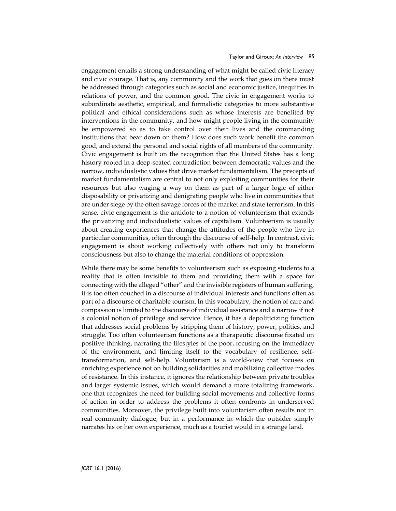engagement entails a strong understanding of what might be called civic literacy and civic courage. That is, any community and the work that goes on there must be addressed through categories such as social and economic justice, inequities in relations of power, and the common good. The civic in engagement works to subordinate aesthetic, empirical, and formalistic categories to more substantive political and ethical considerations such as whose interests are benefited by interventions in the community, and how might people living in the community be empowered so as to take control over their lives and the commanding institutions that bear down on them? How does such work benefit the common good, and extend the personal and social rights of all members of the community. Civic engagement is built on the recognition that the United States has a long history rooted in a deep-seated contradiction between democratic values and the narrow, individualistic values that drive market fundamentalism. The precepts of market fundamentalism are central to not only exploiting communities for their resources but also waging a way on them as part of a larger logic of either disposability or privatizing and denigrating people who live in communities that are under siege by the often savage forces of the market and state terrorism. In this sense, civic engagement is the antidote to a notion of volunteerism that extends the privatizing and individualistic values of capitalism. Volunteerism is usually about creating experiences that change the attitudes of the people who live in particular communities, often through the discourse of self-help. In contrast, civic engagement is about working collectively with others not only to transform consciousness but also to change the material conditions of oppression.

While there may be some benefits to volunteerism such as exposing students to a reality that is often invisible to them and providing them with a space for connecting with the alleged "other" and the invisible registers of human suffering, it is too often couched in a discourse of individual interests and functions often as part of a discourse of charitable tourism. In this vocabulary, the notion of care and compassion is limited to the discourse of individual assistance and a narrow if not a colonial notion of privilege and service. Hence, it has a depoliticizing function that addresses social problems by stripping them of history, power, politics, and struggle. Too often volunteerism functions as a therapeutic discourse fixated on positive thinking, narrating the lifestyles of the poor, focusing on the immediacy of the environment, and limiting itself to the vocabulary of resilience, selftransformation, and self-help. Voluntarism is a world-view that focuses on enriching experience not on building solidarities and mobilizing collective modes of resistance. In this instance, it ignores the relationship between private troubles and larger systemic issues, which would demand a more totalizing framework, one that recognizes the need for building social movements and collective forms of action in order to address the problems it often confronts in underserved communities. Moreover, the privilege built into voluntarism often results not in real community dialogue, but in a performance in which the outsider simply narrates his or her own experience, much as a tourist would in a strange land.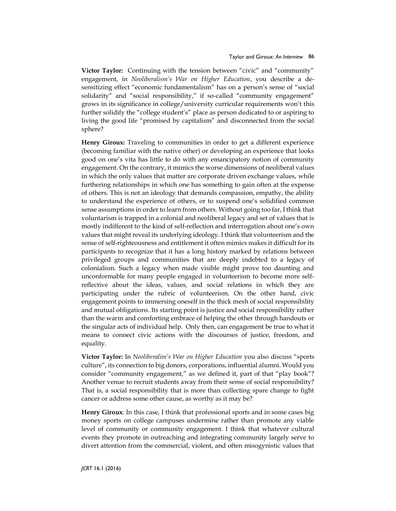**Victor Taylor:** Continuing with the tension between "civic" and "community" engagement, in *Neoliberalism's War on Higher Education*, you describe a desensitizing effect "economic fundamentalism" has on a person's sense of "social solidarity" and "social responsibility," if so-called "community engagement" grows in its significance in college/university curricular requirements won't this further solidify the "college student's" place as person dedicated to or aspiring to living the good life "promised by capitalism" and disconnected from the social sphere?

**Henry Giroux:** Traveling to communities in order to get a different experience (becoming familiar with the native other) or developing an experience that looks good on one's vita has little to do with any emancipatory notion of community engagement. On the contrary, it mimics the worse dimensions of neoliberal values in which the only values that matter are corporate driven exchange values, while furthering relationships in which one has something to gain often at the expense of others. This is not an ideology that demands compassion, empathy, the ability to understand the experience of others, or to suspend one's solidified common sense assumptions in order to learn from others. Without going too far, I think that voluntarism is trapped in a colonial and neoliberal legacy and set of values that is mostly indifferent to the kind of self-reflection and interrogation about one's own values that might reveal its underlying ideology. I think that volunteerism and the sense of self-righteousness and entitlement it often mimics makes it difficult for its participants to recognize that it has a long history marked by relations between privileged groups and communities that are deeply indebted to a legacy of colonialism. Such a legacy when made visible might prove too daunting and unconformable for many people engaged in volunteerism to become more selfreflective about the ideas, values, and social relations in which they are participating under the rubric of volunteerism. On the other hand, civic engagement points to immersing oneself in the thick mesh of social responsibility and mutual obligations. Its starting point is justice and social responsibility rather than the warm and comforting embrace of helping the other through handouts or the singular acts of individual help. Only then, can engagement be true to what it means to connect civic actions with the discourses of justice, freedom, and equality.

**Victor Taylor:** In *Neoliberalim's War on Higher Education* you also discuss "sports culture", its connection to big donors, corporations, influential alumni. Would you consider "community engagement," as we defined it, part of that "play book"? Another venue to recruit students away from their sense of social responsibility? That is, a social responsibility that is more than collecting spare change to fight cancer or address some other cause, as worthy as it may be?

**Henry Giroux**: In this case, I think that professional sports and in some cases big money sports on college campuses undermine rather than promote any viable level of community or community engagement. I think that whatever cultural events they promote in outreaching and integrating community largely serve to divert attention from the commercial, violent, and often misogynistic values that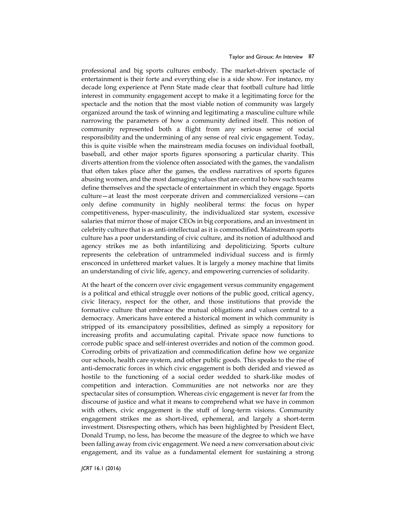professional and big sports cultures embody. The market-driven spectacle of entertainment is their forte and everything else is a side show. For instance, my decade long experience at Penn State made clear that football culture had little interest in community engagement accept to make it a legitimating force for the spectacle and the notion that the most viable notion of community was largely organized around the task of winning and legitimating a masculine culture while narrowing the parameters of how a community defined itself. This notion of community represented both a flight from any serious sense of social responsibility and the undermining of any sense of real civic engagement. Today, this is quite visible when the mainstream media focuses on individual football, baseball, and other major sports figures sponsoring a particular charity. This diverts attention from the violence often associated with the games, the vandalism that often takes place after the games, the endless narratives of sports figures abusing women, and the most damaging values that are central to how such teams define themselves and the spectacle of entertainment in which they engage. Sports culture—at least the most corporate driven and commercialized versions—can only define community in highly neoliberal terms: the focus on hyper competitiveness, hyper-masculinity, the individualized star system, excessive salaries that mirror those of major CEOs in big corporations, and an investment in celebrity culture that is as anti-intellectual as it is commodified. Mainstream sports culture has a poor understanding of civic culture, and its notion of adulthood and agency strikes me as both infantilizing and depoliticizing. Sports culture represents the celebration of untrammeled individual success and is firmly ensconced in unfettered market values. It is largely a money machine that limits an understanding of civic life, agency, and empowering currencies of solidarity.

At the heart of the concern over civic engagement versus community engagement is a political and ethical struggle over notions of the public good, critical agency, civic literacy, respect for the other, and those institutions that provide the formative culture that embrace the mutual obligations and values central to a democracy. Americans have entered a historical moment in which community is stripped of its emancipatory possibilities, defined as simply a repository for increasing profits and accumulating capital. Private space now functions to corrode public space and self-interest overrides and notion of the common good. Corroding orbits of privatization and commodification define how we organize our schools, health care system, and other public goods. This speaks to the rise of anti-democratic forces in which civic engagement is both derided and viewed as hostile to the functioning of a social order wedded to shark-like modes of competition and interaction. Communities are not networks nor are they spectacular sites of consumption. Whereas civic engagement is never far from the discourse of justice and what it means to comprehend what we have in common with others, civic engagement is the stuff of long-term visions. Community engagement strikes me as short-lived, ephemeral, and largely a short-term investment. Disrespecting others, which has been highlighted by President Elect, Donald Trump, no less, has become the measure of the degree to which we have been falling away from civic engagement. We need a new conversation about civic engagement, and its value as a fundamental element for sustaining a strong